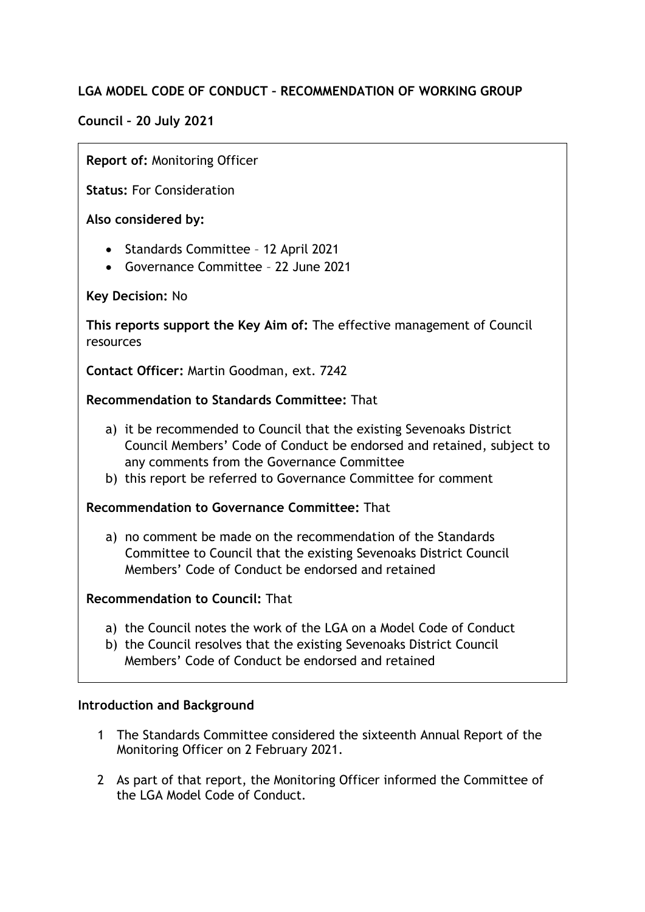# **LGA MODEL CODE OF CONDUCT – RECOMMENDATION OF WORKING GROUP**

# **Council – 20 July 2021**

## **Report of:** Monitoring Officer

**Status:** For Consideration

**Also considered by:**

- Standards Committee 12 April 2021
- Governance Committee 22 June 2021

**Key Decision:** No

**This reports support the Key Aim of:** The effective management of Council resources

**Contact Officer:** Martin Goodman, ext. 7242

### **Recommendation to Standards Committee:** That

- a) it be recommended to Council that the existing Sevenoaks District Council Members' Code of Conduct be endorsed and retained, subject to any comments from the Governance Committee
- b) this report be referred to Governance Committee for comment

# **Recommendation to Governance Committee:** That

a) no comment be made on the recommendation of the Standards Committee to Council that the existing Sevenoaks District Council Members' Code of Conduct be endorsed and retained

## **Recommendation to Council:** That

- a) the Council notes the work of the LGA on a Model Code of Conduct
- b) the Council resolves that the existing Sevenoaks District Council Members' Code of Conduct be endorsed and retained

#### **Introduction and Background**

- 1 The Standards Committee considered the sixteenth Annual Report of the Monitoring Officer on 2 February 2021.
- 2 As part of that report, the Monitoring Officer informed the Committee of the LGA Model Code of Conduct.